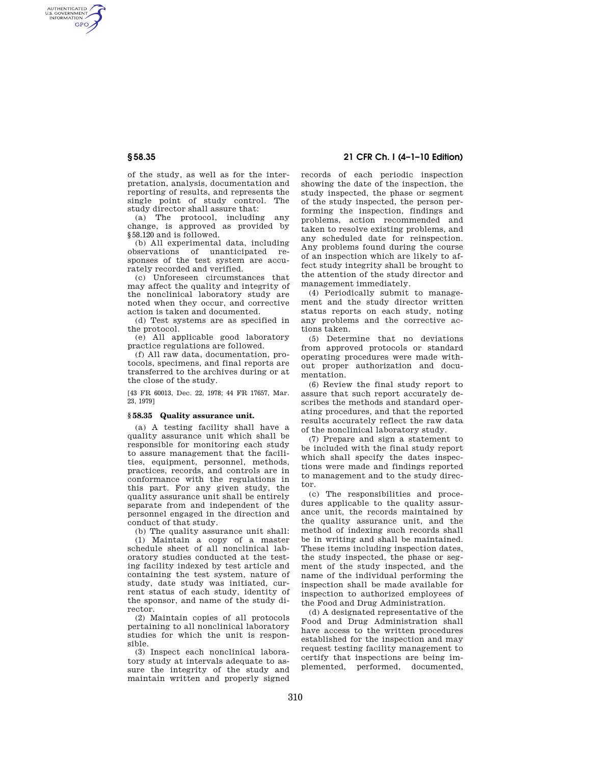AUTHENTICATED<br>U.S. GOVERNMENT<br>INFORMATION **GPO** 

> of the study, as well as for the interpretation, analysis, documentation and reporting of results, and represents the single point of study control. The study director shall assure that:

(a) The protocol, including any change, is approved as provided by §58.120 and is followed.

(b) All experimental data, including observations of unanticipated responses of the test system are accurately recorded and verified.

(c) Unforeseen circumstances that may affect the quality and integrity of the nonclinical laboratory study are noted when they occur, and corrective action is taken and documented.

(d) Test systems are as specified in the protocol.

(e) All applicable good laboratory practice regulations are followed.

(f) All raw data, documentation, protocols, specimens, and final reports are transferred to the archives during or at the close of the study.

[43 FR 60013, Dec. 22, 1978; 44 FR 17657, Mar. 23, 1979]

#### **§ 58.35 Quality assurance unit.**

(a) A testing facility shall have a quality assurance unit which shall be responsible for monitoring each study to assure management that the facilities, equipment, personnel, methods, practices, records, and controls are in conformance with the regulations in this part. For any given study, the quality assurance unit shall be entirely separate from and independent of the personnel engaged in the direction and conduct of that study.

(b) The quality assurance unit shall:

(1) Maintain a copy of a master schedule sheet of all nonclinical laboratory studies conducted at the testing facility indexed by test article and containing the test system, nature of study, date study was initiated, current status of each study, identity of the sponsor, and name of the study director.

(2) Maintain copies of all protocols pertaining to all nonclinical laboratory studies for which the unit is responsible.

(3) Inspect each nonclinical laboratory study at intervals adequate to assure the integrity of the study and maintain written and properly signed

**§ 58.35 21 CFR Ch. I (4–1–10 Edition)** 

records of each periodic inspection showing the date of the inspection, the study inspected, the phase or segment of the study inspected, the person performing the inspection, findings and problems, action recommended and taken to resolve existing problems, and any scheduled date for reinspection. Any problems found during the course of an inspection which are likely to affect study integrity shall be brought to the attention of the study director and management immediately.

(4) Periodically submit to management and the study director written status reports on each study, noting any problems and the corrective actions taken.

(5) Determine that no deviations from approved protocols or standard operating procedures were made without proper authorization and documentation.

(6) Review the final study report to assure that such report accurately describes the methods and standard operating procedures, and that the reported results accurately reflect the raw data of the nonclinical laboratory study.

(7) Prepare and sign a statement to be included with the final study report which shall specify the dates inspections were made and findings reported to management and to the study director.

(c) The responsibilities and procedures applicable to the quality assurance unit, the records maintained by the quality assurance unit, and the method of indexing such records shall be in writing and shall be maintained. These items including inspection dates, the study inspected, the phase or segment of the study inspected, and the name of the individual performing the inspection shall be made available for inspection to authorized employees of the Food and Drug Administration.

(d) A designated representative of the Food and Drug Administration shall have access to the written procedures established for the inspection and may request testing facility management to certify that inspections are being implemented, performed, documented,